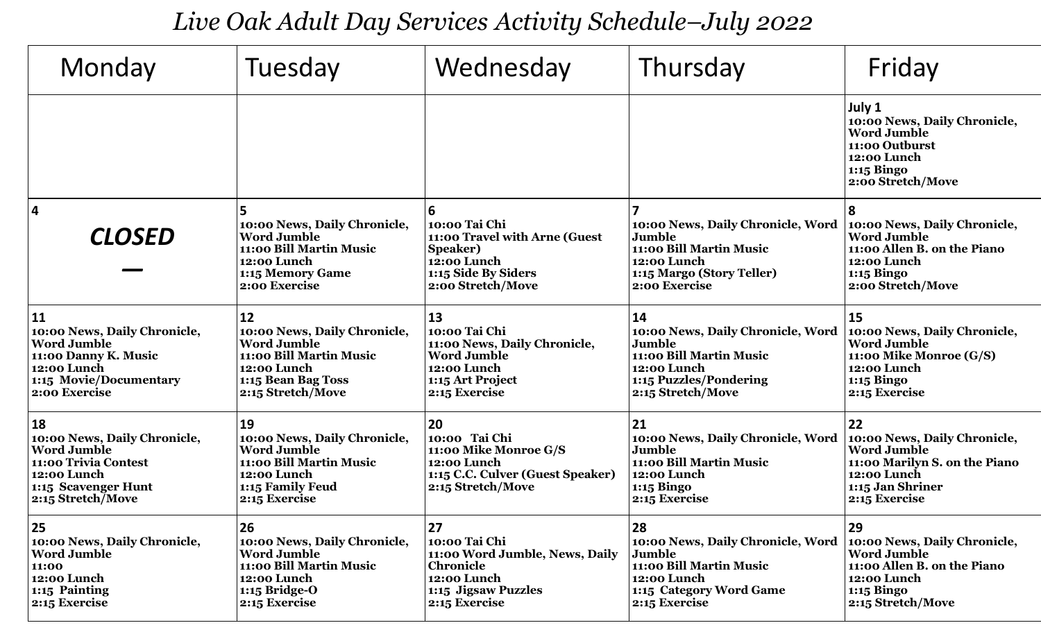*Live Oak Adult Day Services Activity Schedule–July 2022*

| Monday                                                                                                                                            | Tuesday                                                                                                                                       | Wednesday                                                                                                                         | Thursday                                                                                                                                   | Friday                                                                                                                                        |
|---------------------------------------------------------------------------------------------------------------------------------------------------|-----------------------------------------------------------------------------------------------------------------------------------------------|-----------------------------------------------------------------------------------------------------------------------------------|--------------------------------------------------------------------------------------------------------------------------------------------|-----------------------------------------------------------------------------------------------------------------------------------------------|
|                                                                                                                                                   |                                                                                                                                               |                                                                                                                                   |                                                                                                                                            | July 1<br>10:00 News, Daily Chronicle,<br><b>Word Jumble</b><br>11:00 Outburst<br>12:00 Lunch<br>1:15 Bingo<br>2:00 Stretch/Move              |
| $\overline{\mathbf{4}}$<br><b>CLOSED</b>                                                                                                          | 5<br>10:00 News, Daily Chronicle,<br><b>Word Jumble</b><br>11:00 Bill Martin Music<br>12:00 Lunch<br>1:15 Memory Game<br>2:00 Exercise        | 6<br>10:00 Tai Chi<br>11:00 Travel with Arne (Guest<br><b>Speaker)</b><br>12:00 Lunch<br>1:15 Side By Siders<br>2:00 Stretch/Move | 10:00 News, Daily Chronicle, Word<br>Jumble<br>11:00 Bill Martin Music<br>12:00 Lunch<br>1:15 Margo (Story Teller)<br>2:00 Exercise        | 8<br>10:00 News, Daily Chronicle,<br><b>Word Jumble</b><br>11:00 Allen B. on the Piano<br>12:00 Lunch<br>1:15 Bingo<br>2:00 Stretch/Move      |
| <b>11</b><br>10:00 News, Daily Chronicle,<br><b>Word Jumble</b><br>11:00 Danny K. Music<br>12:00 Lunch<br>1:15 Movie/Documentary<br>2:00 Exercise | 12<br>10:00 News, Daily Chronicle,<br><b>Word Jumble</b><br>11:00 Bill Martin Music<br>12:00 Lunch<br>1:15 Bean Bag Toss<br>2:15 Stretch/Move | 13<br>10:00 Tai Chi<br>11:00 News, Daily Chronicle,<br><b>Word Jumble</b><br>12:00 Lunch<br>1:15 Art Project<br>2:15 Exercise     | 14<br>10:00 News, Daily Chronicle, Word<br>Jumble<br>11:00 Bill Martin Music<br>12:00 Lunch<br>1:15 Puzzles/Pondering<br>2:15 Stretch/Move | 15<br>10:00 News, Daily Chronicle,<br><b>Word Jumble</b><br>11:00 Mike Monroe (G/S)<br>12:00 Lunch<br>1:15 Bingo<br>2:15 Exercise             |
| 18<br>10:00 News, Daily Chronicle,<br><b>Word Jumble</b><br>11:00 Trivia Contest<br>12:00 Lunch<br>1:15 Scavenger Hunt<br>2:15 Stretch/Move       | 19<br>10:00 News, Daily Chronicle,<br><b>Word Jumble</b><br>11:00 Bill Martin Music<br>12:00 Lunch<br>1:15 Family Feud<br>2:15 Exercise       | 120<br>10:00 Tai Chi<br>11:00 Mike Monroe G/S<br>12:00 Lunch<br>1:15 C.C. Culver (Guest Speaker)<br>2:15 Stretch/Move             | 21<br>10:00 News, Daily Chronicle, Word<br>Jumble<br>11:00 Bill Martin Music<br>12:00 Lunch<br>1:15 Bingo<br>2:15 Exercise                 | 22<br>10:00 News, Daily Chronicle,<br><b>Word Jumble</b><br>11:00 Marilyn S. on the Piano<br>12:00 Lunch<br>1:15 Jan Shriner<br>2:15 Exercise |
| 25<br>10:00 News, Daily Chronicle,<br><b>Word Jumble</b><br>11:00<br>12:00 Lunch<br>1:15 Painting<br>2:15 Exercise                                | 26<br>10:00 News, Daily Chronicle,<br><b>Word Jumble</b><br>11:00 Bill Martin Music<br>12:00 Lunch<br>$1:15$ Bridge-O<br>2:15 Exercise        | 27<br>10:00 Tai Chi<br>11:00 Word Jumble, News, Daily<br><b>Chronicle</b><br>12:00 Lunch<br>1:15 Jigsaw Puzzles<br>2:15 Exercise  | 28<br>10:00 News, Daily Chronicle, Word<br>Jumble<br>11:00 Bill Martin Music<br>12:00 Lunch<br>1:15 Category Word Game<br>2:15 Exercise    | 29<br>10:00 News, Daily Chronicle,<br><b>Word Jumble</b><br>11:00 Allen B. on the Piano<br>12:00 Lunch<br>1:15 Bingo<br>2:15 Stretch/Move     |